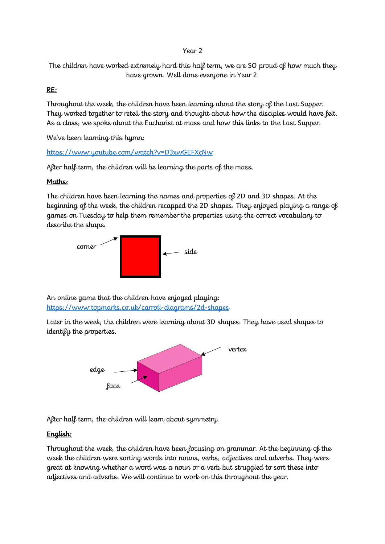#### Year 2

The children have worked extremely hard this half term, we are SO proud of how much they have grown. Well done everyone in Year 2.

### RE:

Throughout the week, the children have been learning about the story of the Last Supper. They worked together to retell the story and thought about how the disciples would have felt. As a class, we spoke about the Eucharist at mass and how this links to the Last Supper.

We've been learning this hymn:

#### <https://www.youtube.com/watch?v=D3xwGEFXcNw>

After half term, the children will be learning the parts of the mass.

### Maths:

The children have been learning the names and properties of 2D and 3D shapes. At the beginning of the week, the children recapped the 2D shapes. They enjoyed playing a range of games on Tuesday to help them remember the properties using the correct vocabulary to describe the shape.



An online game that the children have enjoyed playing: <https://www.topmarks.co.uk/carroll-diagrams/2d-shapes>

Later in the week, the children were learning about 3D shapes. They have used shapes to identify the properties.



After half term, the children will learn about symmetry.

### English:

Throughout the week, the children have been focusing on grammar. At the beginning of the week the children were sorting words into nouns, verbs, adjectives and adverbs. They were great at knowing whether a word was a noun or a verb but struggled to sort these into adjectives and adverbs. We will continue to work on this throughout the year.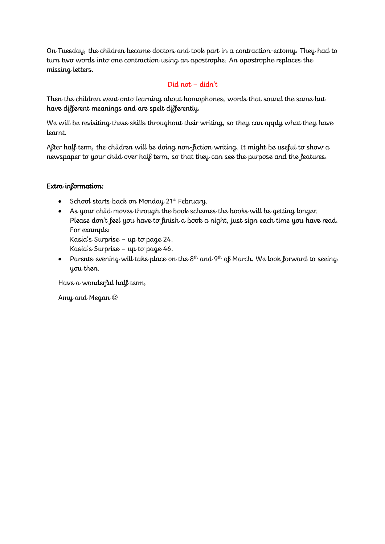On Tuesday, the children became doctors and took part in a contraction-ectomy. They had to turn two words into one contraction using an apostrophe. An apostrophe replaces the missing letters.

# Did not – didn't

Then the children went onto learning about homophones, words that sound the same but have different meanings and are spelt differently.

We will be revisiting these skills throughout their writing, so they can apply what they have learnt.

After half term, the children will be doing non-fiction writing. It might be useful to show a newspaper to your child over half term, so that they can see the purpose and the features.

## Extra information:

- School starts back on Monday 21st February.
- As your child moves through the book schemes the books will be getting longer. Please don't feel you have to finish a book a night, just sign each time you have read. For example:

Kasia's Surprise – up to page 24.

Kasia's Surprise – up to page 46.

• Parents evening will take place on the  $8<sup>th</sup>$  and  $9<sup>th</sup>$  of March. We look forward to seeing you then.

Have a wonderful half term,

Amy and Megan